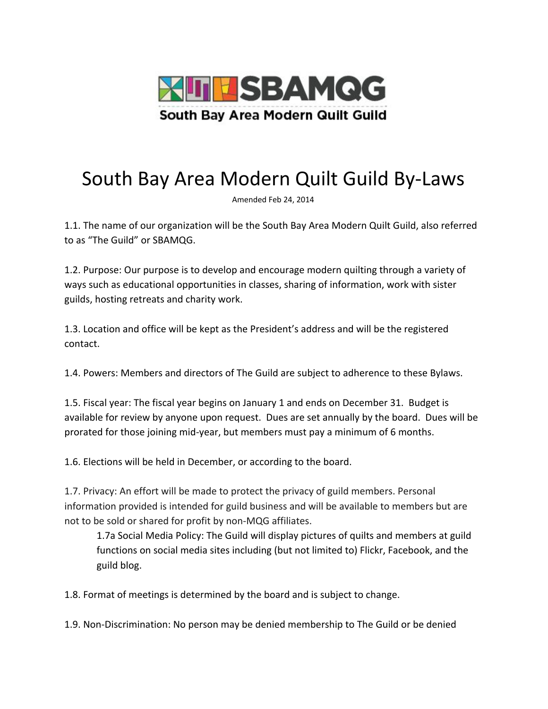

## South Bay Area Modern Quilt Guild By-Laws

Amended Feb 24, 2014

1.1. The name of our organization will be the South Bay Area Modern Quilt Guild, also referred to as "The Guild" or SBAMQG.

1.2. Purpose: Our purpose is to develop and encourage modern quilting through a variety of ways such as educational opportunities in classes, sharing of information, work with sister guilds, hosting retreats and charity work.

1.3. Location and office will be kept as the President's address and will be the registered contact.

1.4. Powers: Members and directors of The Guild are subject to adherence to these Bylaws.

1.5. Fiscal year: The fiscal year begins on January 1 and ends on December 31. Budget is available for review by anyone upon request. Dues are set annually by the board. Dues will be prorated for those joining mid-year, but members must pay a minimum of 6 months.

1.6. Elections will be held in December, or according to the board.

1.7. Privacy: An effort will be made to protect the privacy of guild members. Personal information provided is intended for guild business and will be available to members but are not to be sold or shared for profit by non-MQG affiliates.

1.7a Social Media Policy: The Guild will display pictures of quilts and members at guild functions on social media sites including (but not limited to) Flickr, Facebook, and the guild blog.

1.8. Format of meetings is determined by the board and is subject to change.

1.9. Non-Discrimination: No person may be denied membership to The Guild or be denied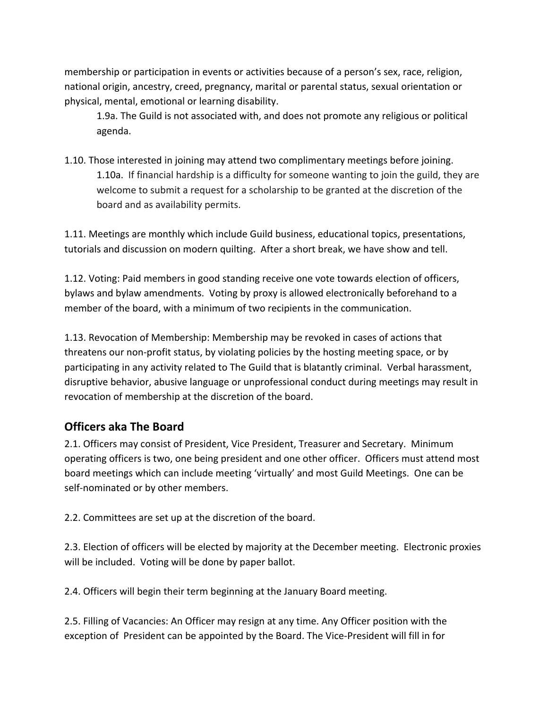membership or participation in events or activities because of a person's sex, race, religion, national origin, ancestry, creed, pregnancy, marital or parental status, sexual orientation or physical, mental, emotional or learning disability.

1.9a. The Guild is not associated with, and does not promote any religious or political agenda.

1.10. Those interested in joining may attend two complimentary meetings before joining. 1.10a. If financial hardship is a difficulty for someone wanting to join the guild, they are welcome to submit a request for a scholarship to be granted at the discretion of the board and as availability permits.

1.11. Meetings are monthly which include Guild business, educational topics, presentations, tutorials and discussion on modern quilting. After a short break, we have show and tell.

1.12. Voting: Paid members in good standing receive one vote towards election of officers, bylaws and bylaw amendments. Voting by proxy is allowed electronically beforehand to a member of the board, with a minimum of two recipients in the communication.

1.13. Revocation of Membership: Membership may be revoked in cases of actions that threatens our non-profit status, by violating policies by the hosting meeting space, or by participating in any activity related to The Guild that is blatantly criminal. Verbal harassment, disruptive behavior, abusive language or unprofessional conduct during meetings may result in revocation of membership at the discretion of the board.

## **Officers aka The Board**

2.1. Officers may consist of President, Vice President, Treasurer and Secretary. Minimum operating officers is two, one being president and one other officer. Officers must attend most board meetings which can include meeting 'virtually' and most Guild Meetings. One can be self-nominated or by other members.

2.2. Committees are set up at the discretion of the board.

2.3. Election of officers will be elected by majority at the December meeting. Electronic proxies will be included. Voting will be done by paper ballot.

2.4. Officers will begin their term beginning at the January Board meeting.

2.5. Filling of Vacancies: An Officer may resign at any time. Any Officer position with the exception of President can be appointed by the Board. The Vice-President will fill in for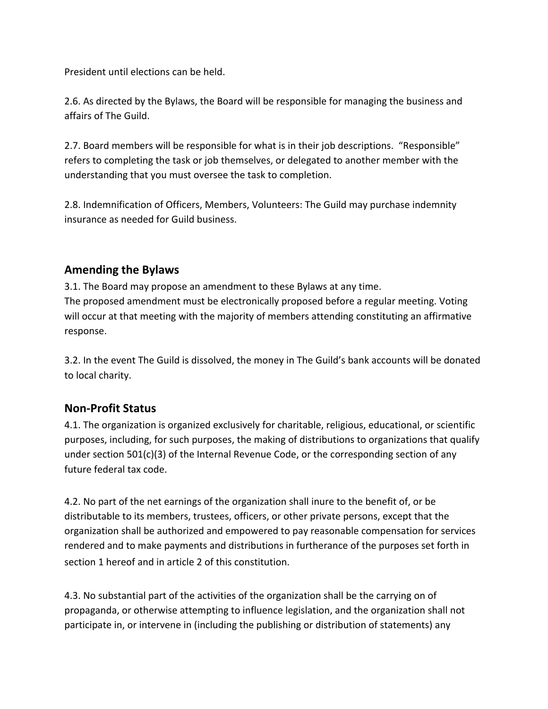President until elections can be held.

2.6. As directed by the Bylaws, the Board will be responsible for managing the business and affairs of The Guild.

2.7. Board members will be responsible for what is in their job descriptions. "Responsible" refers to completing the task or job themselves, or delegated to another member with the understanding that you must oversee the task to completion.

2.8. Indemnification of Officers, Members, Volunteers: The Guild may purchase indemnity insurance as needed for Guild business.

## **Amending the Bylaws**

3.1. The Board may propose an amendment to these Bylaws at any time. The proposed amendment must be electronically proposed before a regular meeting. Voting will occur at that meeting with the majority of members attending constituting an affirmative response.

3.2. In the event The Guild is dissolved, the money in The Guild's bank accounts will be donated to local charity.

## **Non-Profit Status**

4.1. The organization is organized exclusively for charitable, religious, educational, or scientific purposes, including, for such purposes, the making of distributions to organizations that qualify under section 501(c)(3) of the Internal Revenue Code, or the corresponding section of any future federal tax code.

4.2. No part of the net earnings of the organization shall inure to the benefit of, or be distributable to its members, trustees, officers, or other private persons, except that the organization shall be authorized and empowered to pay reasonable compensation for services rendered and to make payments and distributions in furtherance of the purposes set forth in section 1 hereof and in article 2 of this constitution.

4.3. No substantial part of the activities of the organization shall be the carrying on of propaganda, or otherwise attempting to influence legislation, and the organization shall not participate in, or intervene in (including the publishing or distribution of statements) any